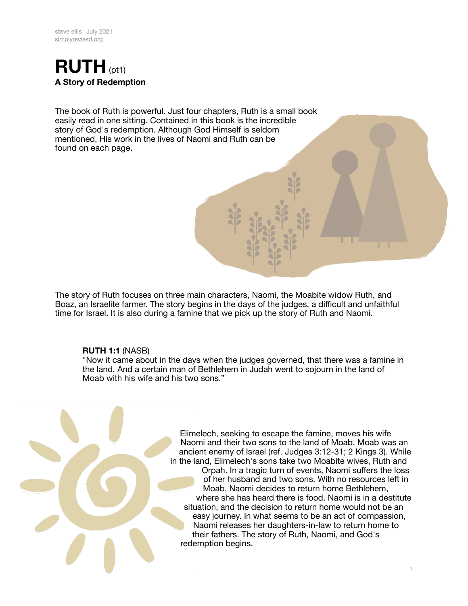

The book of Ruth is powerful. Just four chapters, Ruth is a small book easily read in one sitting. Contained in this book is the incredible story of God's redemption. Although God Himself is seldom mentioned, His work in the lives of Naomi and Ruth can be found on each page.

The story of Ruth focuses on three main characters, Naomi, the Moabite widow Ruth, and Boaz, an Israelite farmer. The story begins in the days of the judges, a difficult and unfaithful time for Israel. It is also during a famine that we pick up the story of Ruth and Naomi.

## **RUTH 1:1** (NASB)

"Now it came about in the days when the judges governed, that there was a famine in the land. And a certain man of Bethlehem in Judah went to sojourn in the land of Moab with his wife and his two sons."



Elimelech, seeking to escape the famine, moves his wife Naomi and their two sons to the land of Moab. Moab was an ancient enemy of Israel (ref. Judges 3:12-31; 2 Kings 3). While in the land, Elimelech's sons take two Moabite wives, Ruth and

Orpah. In a tragic turn of events, Naomi suffers the loss of her husband and two sons. With no resources left in Moab, Naomi decides to return home Bethlehem, where she has heard there is food. Naomi is in a destitute situation, and the decision to return home would not be an easy journey. In what seems to be an act of compassion, Naomi releases her daughters-in-law to return home to their fathers. The story of Ruth, Naomi, and God's redemption begins.